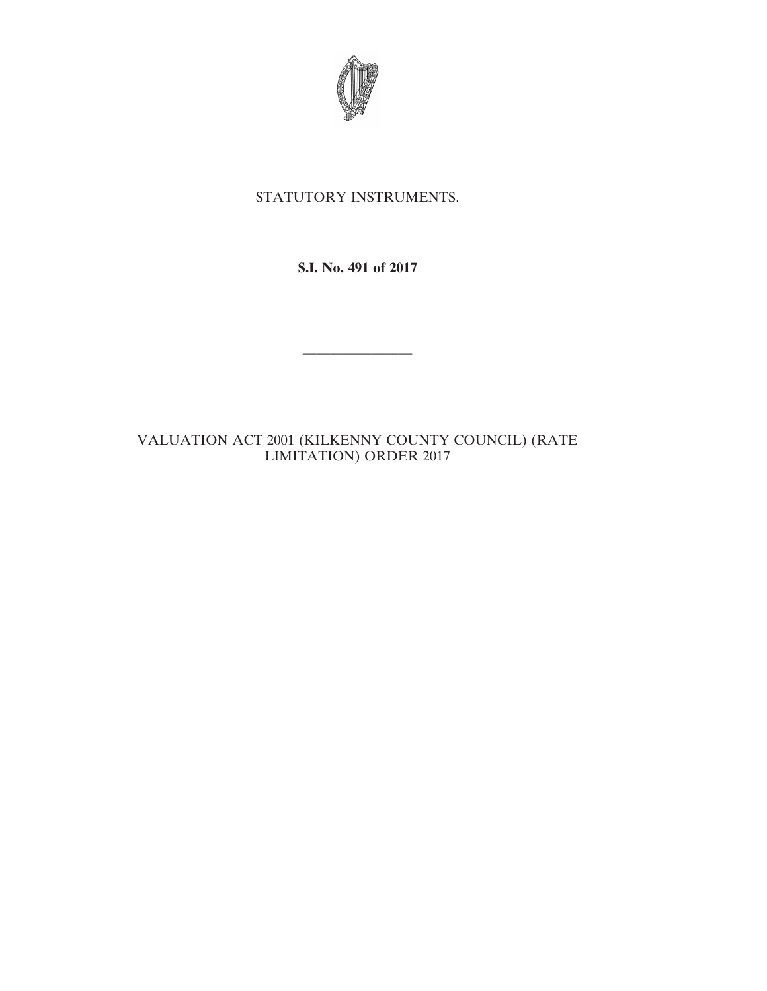

## STATUTORY INSTRUMENTS.

**S.I. No. 491 of 2017**

————————

VALUATION ACT 2001 (KILKENNY COUNTY COUNCIL) (RATE LIMITATION) ORDER 2017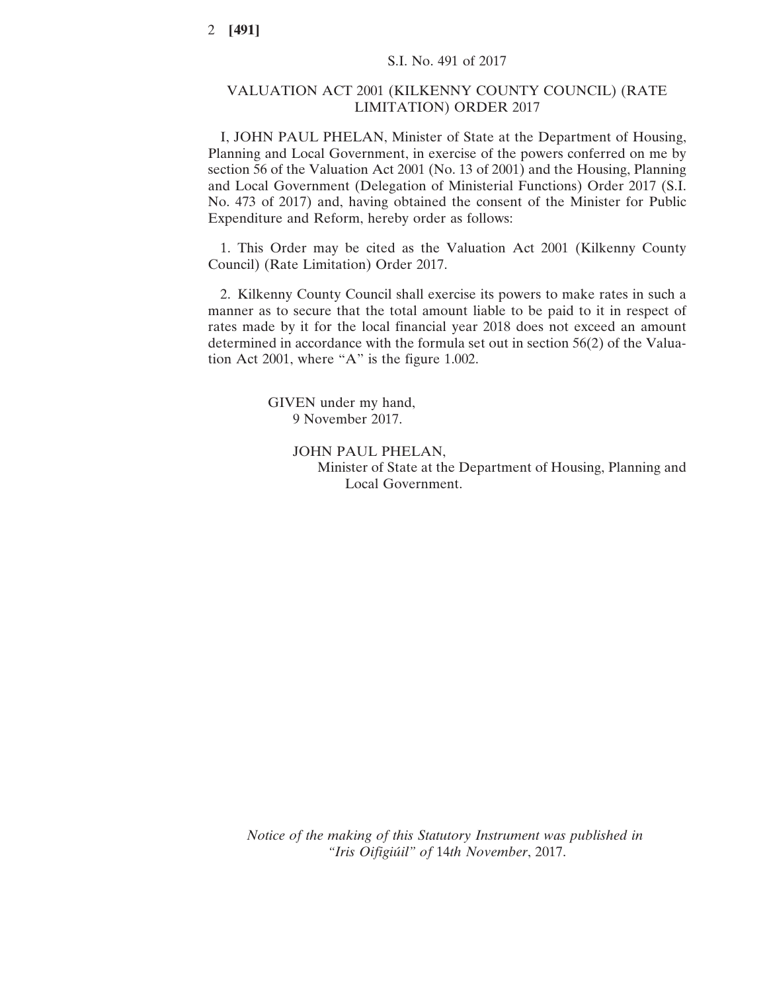## VALUATION ACT 2001 (KILKENNY COUNTY COUNCIL) (RATE LIMITATION) ORDER 2017

I, JOHN PAUL PHELAN, Minister of State at the Department of Housing, Planning and Local Government, in exercise of the powers conferred on me by section 56 of the Valuation Act 2001 (No. 13 of 2001) and the Housing, Planning and Local Government (Delegation of Ministerial Functions) Order 2017 (S.I. No. 473 of 2017) and, having obtained the consent of the Minister for Public Expenditure and Reform, hereby order as follows:

1. This Order may be cited as the Valuation Act 2001 (Kilkenny County Council) (Rate Limitation) Order 2017.

2. Kilkenny County Council shall exercise its powers to make rates in such a manner as to secure that the total amount liable to be paid to it in respect of rates made by it for the local financial year 2018 does not exceed an amount determined in accordance with the formula set out in section 56(2) of the Valuation Act 2001, where "A" is the figure 1.002.

> GIVEN under my hand, 9 November 2017.

> > JOHN PAUL PHELAN, Minister of State at the Department of Housing, Planning and Local Government.

*Notice of the making of this Statutory Instrument was published in "Iris Oifigiúil" of* 14*th November*, 2017.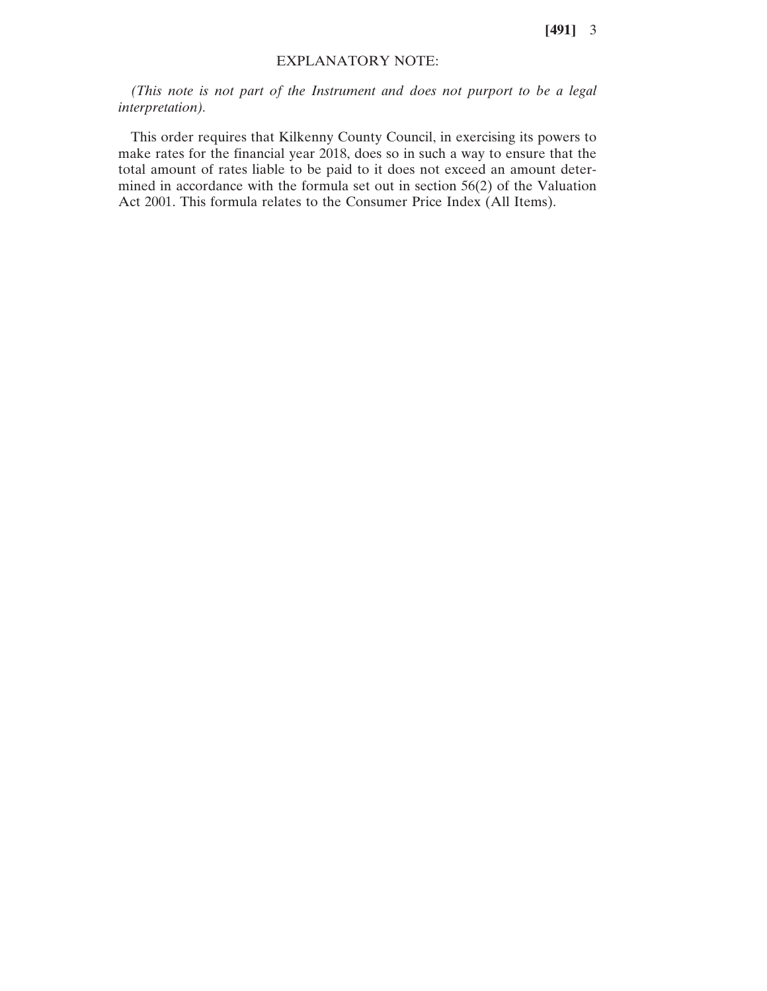**[491]** 3

## EXPLANATORY NOTE:

*(This note is not part of the Instrument and does not purport to be a legal interpretation).*

This order requires that Kilkenny County Council, in exercising its powers to make rates for the financial year 2018, does so in such a way to ensure that the total amount of rates liable to be paid to it does not exceed an amount determined in accordance with the formula set out in section 56(2) of the Valuation Act 2001. This formula relates to the Consumer Price Index (All Items).